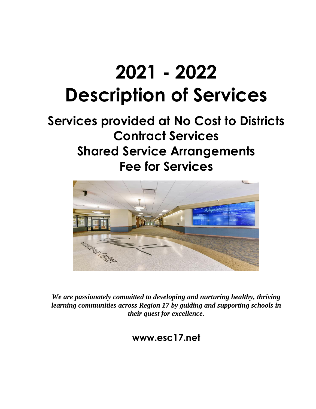# **2021 - 2022 Description of Services**

# **Services provided at No Cost to Districts Contract Services Shared Service Arrangements Fee for Services**



*We are passionately committed to developing and nurturing healthy, thriving learning communities across Region 17 by guiding and supporting schools in their quest for excellence.* 

**www.esc17.net**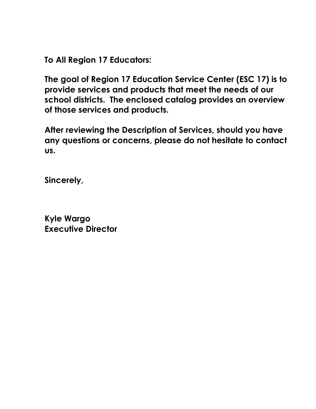**To All Region 17 Educators:**

**The goal of Region 17 Education Service Center (ESC 17) is to provide services and products that meet the needs of our school districts. The enclosed catalog provides an overview of those services and products.** 

**After reviewing the Description of Services, should you have any questions or concerns, please do not hesitate to contact us.** 

**Sincerely,**

**Kyle Wargo Executive Director**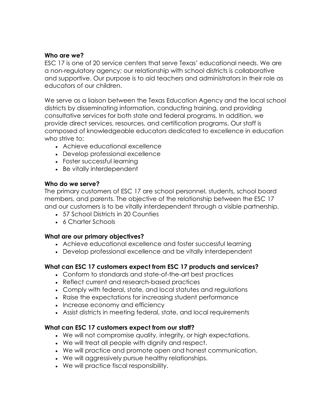#### **Who are we?**

ESC 17 is one of 20 service centers that serve Texas' educational needs. We are a non-regulatory agency; our relationship with school districts is collaborative and supportive. Our purpose is to aid teachers and administrators in their role as educators of our children.

We serve as a liaison between the Texas Education Agency and the local school districts by disseminating information, conducting training, and providing consultative services for both state and federal programs. In addition, we provide direct services, resources, and certification programs. Our staff is composed of knowledgeable educators dedicated to excellence in education who strive to:

- Achieve educational excellence
- Develop professional excellence
- Foster successful learning
- Be vitally interdependent

#### **Who do we serve?**

The primary customers of ESC 17 are school personnel, students, school board members, and parents. The objective of the relationship between the ESC 17 and our customers is to be vitally interdependent through a visible partnership.

- 57 School Districts in 20 Counties
- 6 Charter Schools

#### **What are our primary objectives?**

- Achieve educational excellence and foster successful learning
- Develop professional excellence and be vitally interdependent

#### **What can ESC 17 customers expect from ESC 17 products and services?**

- Conform to standards and state-of-the-art best practices
- Reflect current and research-based practices
- Comply with federal, state, and local statutes and regulations
- Raise the expectations for increasing student performance
- Increase economy and efficiency
- Assist districts in meeting federal, state, and local requirements

#### **What can ESC 17 customers expect from our staff?**

- We will not compromise quality, integrity, or high expectations.
- We will treat all people with dignity and respect.
- We will practice and promote open and honest communication.
- We will aggressively pursue healthy relationships.
- We will practice fiscal responsibility.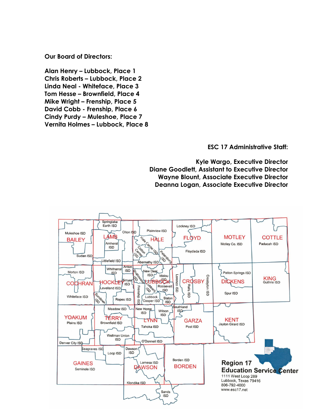**Our Board of Directors:**

**Alan Henry – Lubbock, Place 1 Chris Roberts – Lubbock, Place 2 Linda Neal - Whiteface, Place 3 Tom Hesse – Brownfield, Place 4 Mike Wright – Frenship, Place 5 David Cobb - Frenship, Place 6 Cindy Purdy – Muleshoe, Place 7 Vernita Holmes – Lubbock, Place 8**

**ESC 17 Administrative Staff:**

**Kyle Wargo, Executive Director Diane Goodlett, Assistant to Executive Director Wayne Blount, Associate Executive Director Deanna Logan, Associate Executive Director**

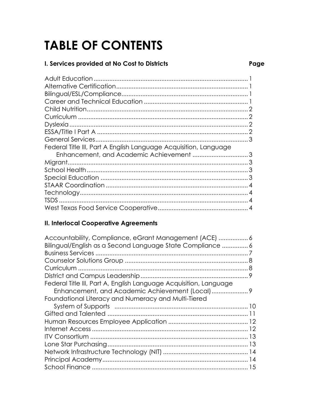# **TABLE OF CONTENTS**

#### I. Services provided at No Cost to Districts

| Federal Title III, Part A English Language Acquisition, Language |  |
|------------------------------------------------------------------|--|
| Enhancement, and Academic Achievement 3                          |  |
|                                                                  |  |
|                                                                  |  |
|                                                                  |  |
|                                                                  |  |
|                                                                  |  |
|                                                                  |  |
|                                                                  |  |

#### **II. Interlocal Cooperative Agreements**

| Accountability, Compliance, eGrant Management (ACE)  6            |  |
|-------------------------------------------------------------------|--|
| Bilingual/English as a Second Language State Compliance  6        |  |
|                                                                   |  |
|                                                                   |  |
|                                                                   |  |
|                                                                   |  |
| Federal Title III, Part A, English Language Acquisition, Language |  |
|                                                                   |  |
| Foundational Literacy and Numeracy and Multi-Tiered               |  |
|                                                                   |  |
|                                                                   |  |
|                                                                   |  |
|                                                                   |  |
|                                                                   |  |
|                                                                   |  |
|                                                                   |  |
|                                                                   |  |
|                                                                   |  |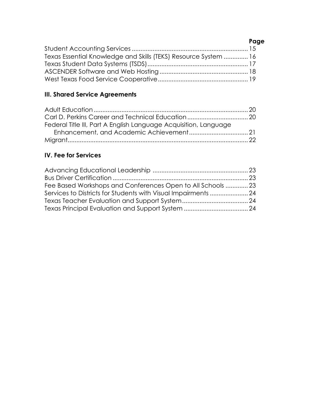#### **Page**

| Texas Essential Knowledge and Skills (TEKS) Resource System  16 |  |
|-----------------------------------------------------------------|--|
|                                                                 |  |
|                                                                 |  |
|                                                                 |  |

#### **III. Shared Service Agreements**

| Federal Title III, Part A English Language Acquisition, Language |  |
|------------------------------------------------------------------|--|
|                                                                  |  |
|                                                                  |  |

#### **IV. Fee for Services**

| Fee Based Workshops and Conferences Open to All Schools  23    |  |
|----------------------------------------------------------------|--|
| Services to Districts for Students with Visual Impairments  24 |  |
|                                                                |  |
|                                                                |  |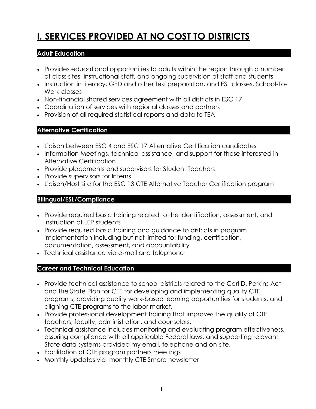# **I. SERVICES PROVIDED AT NO COST TO DISTRICTS**

#### **Adult Education**

- Provides educational opportunities to adults within the region through a number of class sites, instructional staff, and ongoing supervision of staff and students
- Instruction in literacy, GED and other test preparation, and ESL classes, School-To-Work classes
- Non-financial shared services agreement with all districts in ESC 17
- Coordination of services with regional classes and partners
- Provision of all required statistical reports and data to TEA

#### **Alternative Certification**

- Liaison between ESC 4 and ESC 17 Alternative Certification candidates
- Information Meetings, technical assistance, and support for those interested in Alternative Certification
- Provide placements and supervisors for Student Teachers
- Provide supervisors for Interns
- Liaison/Host site for the ESC 13 CTE Alternative Teacher Certification program

#### **Bilingual/ESL/Compliance**

- Provide required basic training related to the identification, assessment, and instruction of LEP students
- Provide required basic training and guidance to districts in program implementation including but not limited to: funding, certification, documentation, assessment, and accountability
- Technical assistance via e-mail and telephone

#### **Career and Technical Education**

- Provide technical assistance to school districts related to the Carl D. Perkins Act and the State Plan for CTE for developing and implementing quality CTE programs, providing quality work-based learning opportunities for students, and aligning CTE programs to the labor market.
- Provide professional development training that improves the quality of CTE teachers, faculty, administration, and counselors.
- Technical assistance includes monitoring and evaluating program effectiveness, assuring compliance with all applicable Federal laws, and supporting relevant State data systems provided my email, telephone and on-site.
- Facilitation of CTE program partners meetings
- Monthly updates via monthly CTE Smore newsletter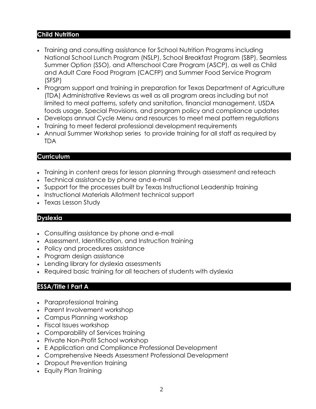#### **Child Nutrition**

- Training and consulting assistance for School Nutrition Programs including National School Lunch Program (NSLP), School Breakfast Program (SBP), Seamless Summer Option (SSO), and Afterschool Care Program (ASCP), as well as Child and Adult Care Food Program (CACFP) and Summer Food Service Program (SFSP)
- Program support and training in preparation for Texas Department of Agriculture (TDA) Administrative Reviews as well as all program areas including but not limited to meal patterns, safety and sanitation, financial management, USDA foods usage, Special Provisions, and program policy and compliance updates
- Develops annual Cycle Menu and resources to meet meal pattern regulations
- Training to meet federal professional development requirements
- Annual Summer Workshop series to provide training for all staff as required by TDA

#### **Curriculum**

- Training in content areas for lesson planning through assessment and reteach
- Technical assistance by phone and e-mail
- Support for the processes built by Texas Instructional Leadership training
- Instructional Materials Allotment technical support
- Texas Lesson Study

#### **Dyslexia**

- Consulting assistance by phone and e-mail
- Assessment, Identification, and Instruction training
- Policy and procedures assistance
- Program design assistance
- Lending library for dyslexia assessments
- Required basic training for all teachers of students with dyslexia

#### **ESSA/Title I Part A**

- Paraprofessional training
- Parent Involvement workshop
- Campus Planning workshop
- Fiscal Issues workshop
- Comparability of Services training
- Private Non-Profit School workshop
- E Application and Compliance Professional Development
- Comprehensive Needs Assessment Professional Development
- Dropout Prevention training
- Equity Plan Training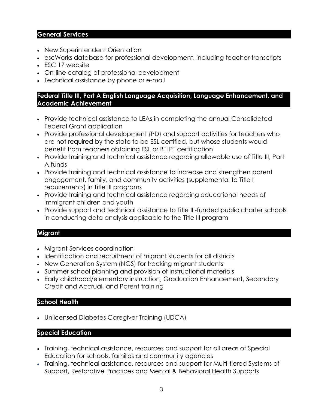#### **General Services**

- New Superintendent Orientation
- escWorks database for professional development, including teacher transcripts
- ESC 17 website
- On-line catalog of professional development
- Technical assistance by phone or e-mail

#### **Federal Title III, Part A English Language Acquisition, Language Enhancement, and Academic Achievement**

- Provide technical assistance to LEAs in completing the annual Consolidated Federal Grant application
- Provide professional development (PD) and support activities for teachers who are not required by the state to be ESL certified, but whose students would benefit from teachers obtaining ESL or BTLPT certification
- Provide training and technical assistance regarding allowable use of Title III, Part A funds
- Provide training and technical assistance to increase and strengthen parent engagement, family, and community activities (supplemental to Title I requirements) in Title III programs
- Provide training and technical assistance regarding educational needs of immigrant children and youth
- Provide support and technical assistance to Title III-funded public charter schools in conducting data analysis applicable to the Title III program

#### **Migrant**

- Migrant Services coordination
- Identification and recruitment of migrant students for all districts
- New Generation System (NGS) for tracking migrant students
- Summer school planning and provision of instructional materials
- Early childhood/elementary instruction, Graduation Enhancement, Secondary Credit and Accrual, and Parent training

#### **School Health**

• Unlicensed Diabetes Caregiver Training (UDCA)

#### **Special Education**

- Training, technical assistance, resources and support for all areas of Special Education for schools, families and community agencies
- Training, technical assistance, resources and support for Multi-tiered Systems of Support, Restorative Practices and Mental & Behavioral Health Supports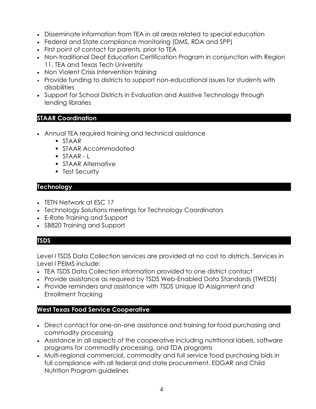- Disseminate information from TEA in all areas related to special education
- Federal and State compliance monitoring (DMS, RDA and SPP)
- First point of contact for parents, prior to TEA
- Non-traditional Deaf Education Certification Program in conjunction with Region 11, TEA and Texas Tech University
- Non Violent Crisis Intervention training
- Provide funding to districts to support non-educational issues for students with disabilities
- Support for School Districts in Evaluation and Assistive Technology through lending libraries

#### **STAAR Coordination**

- Annual TEA required training and technical assistance
	- STAAR
	- **STAAR Accommodated**
	- STAAR-L
	- **STAAR Alternative**
	- **Execurity**

#### **Technology**

- TETN Network at ESC 17
- Technology Solutions meetings for Technology Coordinators
- E-Rate Training and Support
- SB820 Training and Support

#### **TSDS**

Level I TSDS Data Collection services are provided at no cost to districts. Services in Level I PEIMS include:

- TEA TSDS Data Collection information provided to one district contact
- Provide assistance as required by TSDS Web-Enabled Data Standards (TWEDS)
- Provide reminders and assistance with TSDS Unique ID Assignment and Enrollment Tracking

#### **West Texas Food Service Cooperative**

- Direct contact for one-on-one assistance and training for food purchasing and commodity processing
- Assistance in all aspects of the cooperative including nutritional labels, software programs for commodity processing, and TDA programs
- Multi-regional commercial, commodity and full service food purchasing bids in full compliance with all federal and state procurement, EDGAR and Child Nutrition Program guidelines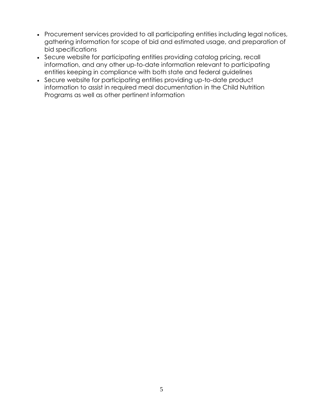- Procurement services provided to all participating entities including legal notices, gathering information for scope of bid and estimated usage, and preparation of bid specifications
- Secure website for participating entities providing catalog pricing, recall information, and any other up-to-date information relevant to participating entities keeping in compliance with both state and federal guidelines
- Secure website for participating entities providing up-to-date product information to assist in required meal documentation in the Child Nutrition Programs as well as other pertinent information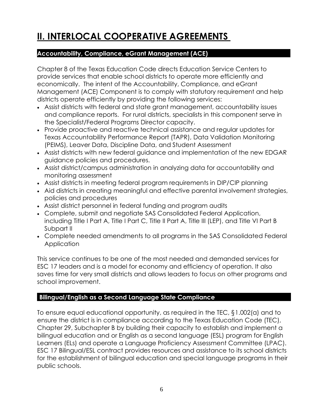### **II. INTERLOCAL COOPERATIVE AGREEMENTS**

#### **Accountability, Compliance, eGrant Management (ACE)**

Chapter 8 of the Texas Education Code directs Education Service Centers to provide services that enable school districts to operate more efficiently and economically. The intent of the Accountability, Compliance, and eGrant Management (ACE) Component is to comply with statutory requirement and help districts operate efficiently by providing the following services:

- Assist districts with federal and state grant management, accountability issues and compliance reports. For rural districts, specialists in this component serve in the Specialist/Federal Programs Director capacity.
- Provide proactive and reactive technical assistance and regular updates for Texas Accountability Performance Report (TAPR), Data Validation Monitoring (PEIMS), Leaver Data, Discipline Data, and Student Assessment
- Assist districts with new federal guidance and implementation of the new EDGAR guidance policies and procedures.
- Assist district/campus administration in analyzing data for accountability and monitoring assessment
- Assist districts in meeting federal program requirements in DIP/CIP planning
- Aid districts in creating meaningful and effective parental involvement strategies, policies and procedures
- Assist district personnel in federal funding and program audits
- Complete, submit and negotiate SAS Consolidated Federal Application, including Title I Part A, Title I Part C, Title II Part A, Title III (LEP), and Title VI Part B Subpart II
- Complete needed amendments to all programs in the SAS Consolidated Federal Application

This service continues to be one of the most needed and demanded services for ESC 17 leaders and is a model for economy and efficiency of operation. It also saves time for very small districts and allows leaders to focus on other programs and school improvement.

#### **Bilingual/English as a Second Language State Compliance**

To ensure equal educational opportunity, as required in the TEC, §1.002(a) and to ensure the district is in compliance according to the Texas Education Code (TEC), Chapter 29, Subchapter B by building their capacity to establish and implement a bilingual education and or English as a second language (ESL) program for English Learners (ELs) and operate a Language Proficiency Assessment Committee (LPAC). ESC 17 Bilingual/ESL contract provides resources and assistance to its school districts for the establishment of bilingual education and special language programs in their public schools.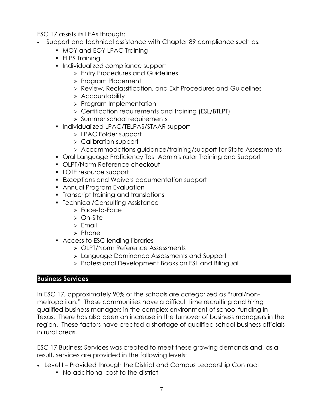ESC 17 assists its LEAs through:

- Support and technical assistance with Chapter 89 compliance such as:
	- MOY and EOY LPAC Training
	- ELPS Training
	- Individualized compliance support
		- ➢ Entry Procedures and Guidelines
		- ➢ Program Placement
		- ➢ Review, Reclassification, and Exit Procedures and Guidelines
		- ➢ Accountability
		- ➢ Program Implementation
		- ➢ Certification requirements and training (ESL/BTLPT)
		- ➢ Summer school requirements
	- Individualized LPAC/TELPAS/STAAR support
		- ➢ LPAC Folder support
		- ➢ Calibration support
		- ➢ Accommodations guidance/training/support for State Assessments
	- Oral Language Proficiency Test Administrator Training and Support
	- OLPT/Norm Reference checkout
	- LOTE resource support
	- Exceptions and Waivers documentation support
	- **Annual Program Evaluation**
	- **•** Transcript training and translations
	- Technical/Consulting Assistance
		- ➢ Face-to-Face
			- ➢ On-Site
			- ➢ Email
			- ➢ Phone
	- Access to ESC lending libraries
		- ➢ OLPT/Norm Reference Assessments
		- ➢ Language Dominance Assessments and Support
		- ➢ Professional Development Books on ESL and Bilingual

#### **Business Services**

In ESC 17, approximately 90% of the schools are categorized as "rural/nonmetropolitan." These communities have a difficult time recruiting and hiring qualified business managers in the complex environment of school funding in Texas. There has also been an increase in the turnover of business managers in the region. These factors have created a shortage of qualified school business officials in rural areas.

ESC 17 Business Services was created to meet these growing demands and, as a result, services are provided in the following levels:

- Level I Provided through the District and Campus Leadership Contract
	- No additional cost to the district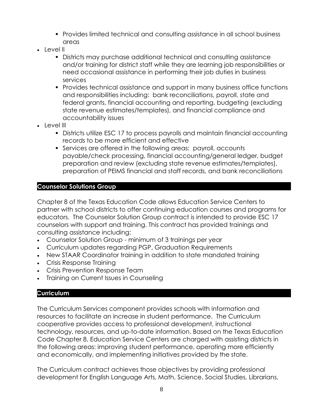- Provides limited technical and consulting assistance in all school business areas
- $\cdot$  level  $\parallel$ 
	- Districts may purchase additional technical and consulting assistance and/or training for district staff while they are learning job responsibilities or need occasional assistance in performing their job duties in business services
	- Provides technical assistance and support in many business office functions and responsibilities including: bank reconciliations, payroll, state and federal grants, financial accounting and reporting, budgeting (excluding state revenue estimates/templates), and financial compliance and accountability issues
- Level III
	- Districts utilize ESC 17 to process payrolls and maintain financial accounting records to be more efficient and effective
	- Services are offered in the following areas: payroll, accounts payable/check processing, financial accounting/general ledger, budget preparation and review (excluding state revenue estimates/templates), preparation of PEIMS financial and staff records, and bank reconciliations

#### **Counselor Solutions Group**

Chapter 8 of the Texas Education Code allows Education Service Centers to partner with school districts to offer continuing education courses and programs for educators. The Counselor Solution Group contract is intended to provide ESC 17 counselors with support and training. This contract has provided trainings and consulting assistance including:

- Counselor Solution Group minimum of 3 trainings per year
- Curriculum updates regarding PGP, Graduation Requirements
- New STAAR Coordinator training in addition to state mandated training
- Crisis Response Training
- Crisis Prevention Response Team
- Training on Current Issues in Counseling

#### **Curriculum**

The Curriculum Services component provides schools with information and resources to facilitate an increase in student performance. The Curriculum cooperative provides access to professional development, instructional technology, resources, and up-to-date information. Based on the Texas Education Code Chapter 8, Education Service Centers are charged with assisting districts in the following areas: improving student performance, operating more efficiently and economically, and implementing initiatives provided by the state.

The Curriculum contract achieves those objectives by providing professional development for English Language Arts, Math, Science, Social Studies, Librarians,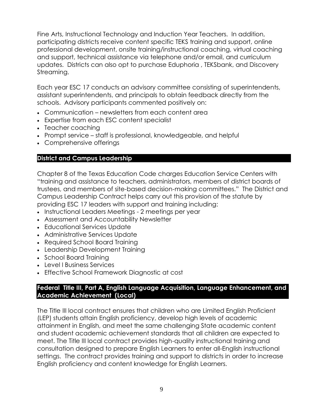Fine Arts, Instructional Technology and Induction Year Teachers. In addition, participating districts receive content specific TEKS training and support, online professional development, onsite training/instructional coaching, virtual coaching and support, technical assistance via telephone and/or email, and curriculum updates. Districts can also opt to purchase Eduphoria , TEKSbank, and Discovery Streaming.

Each year ESC 17 conducts an advisory committee consisting of superintendents, assistant superintendents, and principals to obtain feedback directly from the schools. Advisory participants commented positively on:

- Communication newsletters from each content area
- Expertise from each ESC content specialist
- Teacher coaching
- Prompt service staff is professional, knowledgeable, and helpful
- Comprehensive offerings

#### **District and Campus Leadership**

Chapter 8 of the Texas Education Code charges Education Service Centers with "training and assistance to teachers, administrators, members of district boards of trustees, and members of site-based decision-making committees." The District and Campus Leadership Contract helps carry out this provision of the statute by providing ESC 17 leaders with support and training including:

- Instructional Leaders Meetings 2 meetings per year
- Assessment and Accountability Newsletter
- Educational Services Update
- Administrative Services Update
- Required School Board Training
- Leadership Development Training
- School Board Training
- Level I Business Services
- Effective School Framework Diagnostic at cost

#### **Federal Title III, Part A, English Language Acquisition, Language Enhancement, and Academic Achievement (Local)**

The Title III local contract ensures that children who are Limited English Proficient (LEP) students attain English proficiency, develop high levels of academic attainment in English, and meet the same challenging State academic content and student academic achievement standards that all children are expected to meet. The Title III local contract provides high-quality instructional training and consultation designed to prepare English Learners to enter all-English instructional settings. The contract provides training and support to districts in order to increase English proficiency and content knowledge for English Learners.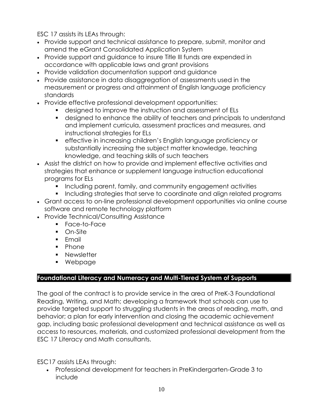ESC 17 assists its LEAs through:

- Provide support and technical assistance to prepare, submit, monitor and amend the eGrant Consolidated Application System
- Provide support and guidance to insure Title III funds are expended in accordance with applicable laws and grant provisions
- Provide validation documentation support and guidance
- Provide assistance in data disaggregation of assessments used in the measurement or progress and attainment of English language proficiency standards
- Provide effective professional development opportunities:
	- designed to improve the instruction and assessment of ELs
	- designed to enhance the ability of teachers and principals to understand and implement curricula, assessment practices and measures, and instructional strategies for ELs
	- **•** effective in increasing children's English language proficiency or substantially increasing the subject matter knowledge, teaching knowledge, and teaching skills of such teachers
- Assist the district on how to provide and implement effective activities and strategies that enhance or supplement language instruction educational programs for ELs
	- Including parent, family, and community engagement activities
	- Including strategies that serve to coordinate and align related programs
- Grant access to on-line professional development opportunities via online course software and remote technology platform
- Provide Technical/Consulting Assistance
	- Face-to-Face
	- On-Site
	- Fmail
	- Phone
	- **■** Newsletter
	- Webpage

#### **Foundational Literacy and Numeracy and Multi-Tiered System of Supports**

The goal of the contract is to provide service in the area of PreK-3 Foundational Reading, Writing, and Math; developing a framework that schools can use to provide targeted support to struggling students in the areas of reading, math, and behavior; a plan for early intervention and closing the academic achievement gap, including basic professional development and technical assistance as well as access to resources, materials, and customized professional development from the ESC 17 Literacy and Math consultants.

ESC17 assists LEAs through:

• Professional development for teachers in PreKindergarten-Grade 3 to include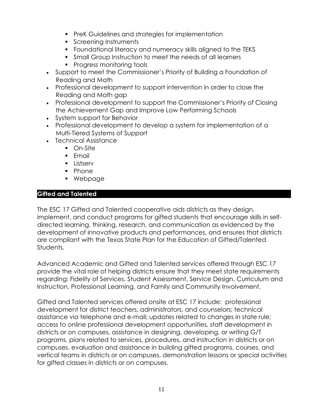- PreK Guidelines and strategies for implementation
- **•** Screening Instruments
- Foundational literacy and numeracy skills aligned to the TEKS
- Small Group Instruction to meet the needs of all learners
- Progress monitoring tools
- Support to meet the Commissioner's Priority of Building a Foundation of Reading and Math
- Professional development to support intervention in order to close the Reading and Math gap
- Professional development to support the Commissioner's Priority of Closing the Achievement Gap and Improve Low Performing Schools
- System support for Behavior
- Professional development to develop a system for implementation of a Multi-Tiered Systems of Support
- Technical Assistance
	- On-Site
	- Email
	- Listserv
	- Phone
	- Webpage

#### **Gifted and Talented**

The ESC 17 Gifted and Talented cooperative aids districts as they design, implement, and conduct programs for gifted students that encourage skills in selfdirected learning, thinking, research, and communication as evidenced by the development of innovative products and performances, and ensures that districts are compliant with the Texas State Plan for the Education of Gifted/Talented Students.

Advanced Academic and Gifted and Talented services offered through ESC 17 provide the vital role of helping districts ensure that they meet state requirements regarding: Fidelity of Services, Student Assessment, Service Design, Curriculum and Instruction, Professional Learning, and Family and Community Involvement.

Gifted and Talented services offered onsite at ESC 17 include: professional development for district teachers, administrators, and counselors; technical assistance via telephone and e-mail; updates related to changes in state rule; access to online professional development opportunities, staff development in districts or on campuses, assistance in designing, developing, or writing G/T programs, plans related to services, procedures, and instruction in districts or on campuses, evaluation and assistance in building gifted programs, courses, and vertical teams in districts or on campuses, demonstration lessons or special activities for gifted classes in districts or on campuses.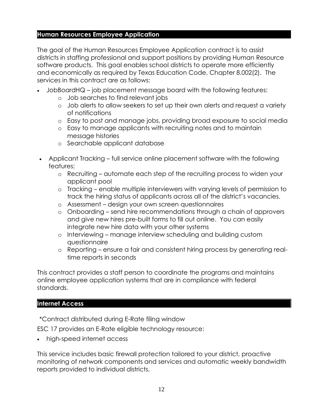#### **Human Resources Employee Application**

The goal of the Human Resources Employee Application contract is to assist districts in staffing professional and support positions by providing Human Resource software products. This goal enables school districts to operate more efficiently and economically as required by Texas Education Code, Chapter 8.002(2). The services in this contract are as follows:

- JobBoardHQ job placement message board with the following features:
	- o Job searches to find relevant jobs
	- o Job alerts to allow seekers to set up their own alerts and request a variety of notifications
	- o Easy to post and manage jobs, providing broad exposure to social media
	- o Easy to manage applicants with recruiting notes and to maintain message histories
	- o Searchable applicant database
- Applicant Tracking full service online placement software with the following features:
	- o Recruiting automate each step of the recruiting process to widen your applicant pool
	- o Tracking enable multiple interviewers with varying levels of permission to track the hiring status of applicants across all of the district's vacancies.
	- o Assessment design your own screen questionnaires
	- o Onboarding send hire recommendations through a chain of approvers and give new hires pre-built forms to fill out online. You can easily integrate new hire data with your other systems
	- o Interviewing manage interview scheduling and building custom questionnaire
	- o Reporting ensure a fair and consistent hiring process by generating realtime reports in seconds

This contract provides a staff person to coordinate the programs and maintains online employee application systems that are in compliance with federal standards.

#### **Internet Access**

\*Contract distributed during E-Rate filing window

ESC 17 provides an E-Rate eligible technology resource:

• high-speed internet access

This service includes basic firewall protection tailored to your district, proactive monitoring of network components and services and automatic weekly bandwidth reports provided to individual districts.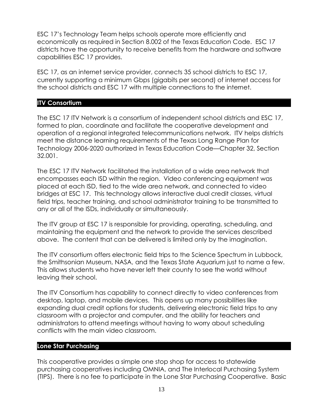ESC 17's Technology Team helps schools operate more efficiently and economically as required in Section 8.002 of the Texas Education Code. ESC 17 districts have the opportunity to receive benefits from the hardware and software capabilities ESC 17 provides.

ESC 17, as an internet service provider, connects 35 school districts to ESC 17, currently supporting a minimum Gbps (gigabits per second) of internet access for the school districts and ESC 17 with multiple connections to the internet.

#### **ITV Consortium**

The ESC 17 ITV Network is a consortium of independent school districts and ESC 17, formed to plan, coordinate and facilitate the cooperative development and operation of a regional integrated telecommunications network. ITV helps districts meet the distance learning requirements of the Texas Long Range Plan for Technology 2006-2020 authorized in Texas Education Code—Chapter 32, Section 32.001.

The ESC 17 ITV Network facilitated the installation of a wide area network that encompasses each ISD within the region. Video conferencing equipment was placed at each ISD, tied to the wide area network, and connected to video bridges at ESC 17. This technology allows interactive dual credit classes, virtual field trips, teacher training, and school administrator training to be transmitted to any or all of the ISDs, individually or simultaneously.

The ITV group at ESC 17 is responsible for providing, operating, scheduling, and maintaining the equipment and the network to provide the services described above. The content that can be delivered is limited only by the imagination.

The ITV consortium offers electronic field trips to the Science Spectrum in Lubbock, the Smithsonian Museum, NASA, and the Texas State Aquarium just to name a few. This allows students who have never left their county to see the world without leaving their school.

The ITV Consortium has capability to connect directly to video conferences from desktop, laptop, and mobile devices. This opens up many possibilities like expanding dual credit options for students, delivering electronic field trips to any classroom with a projector and computer, and the ability for teachers and administrators to attend meetings without having to worry about scheduling conflicts with the main video classroom.

#### **Lone Star Purchasing**

This cooperative provides a simple one stop shop for access to statewide purchasing cooperatives including OMNIA, and The Interlocal Purchasing System (TIPS). There is no fee to participate in the Lone Star Purchasing Cooperative. Basic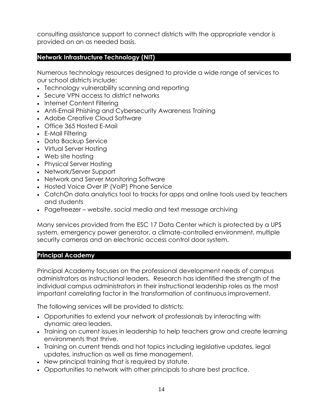consulting assistance support to connect districts with the appropriate vendor is provided on an as needed basis.

#### **Network Infrastructure Technology (NIT)**

Numerous technology resources designed to provide a wide range of services to our school districts include:

- Technology vulnerability scanning and reporting
- Secure VPN access to district networks
- Internet Content Filtering
- Anti-Email Phishing and Cybersecurity Awareness Training
- Adobe Creative Cloud Software
- Office 365 Hosted E-Mail
- E-Mail Filtering
- Data Backup Service
- Virtual Server Hosting
- Web site hosting
- Physical Server Hosting
- Network/Server Support
- Network and Server Monitoring Software
- Hosted Voice Over IP (VoIP) Phone Service
- CatchOn data analytics tool to tracks for apps and online tools used by teachers and students
- Pagefreezer website, social media and text message archiving

Many services provided from the ESC 17 Data Center which is protected by a UPS system, emergency power generator, a climate-controlled environment, multiple security cameras and an electronic access control door system.

#### **Principal Academy**

Principal Academy focuses on the professional development needs of campus administrators as instructional leaders. Research has identified the strength of the individual campus administrators in their instructional leadership roles as the most important correlating factor in the transformation of continuous improvement.

The following services will be provided to districts:

- Opportunities to extend your network of professionals by interacting with dynamic area leaders.
- Training on current issues in leadership to help teachers grow and create learning environments that thrive.
- Training on current trends and hot topics including legislative updates, legal updates, instruction as well as time management.
- New principal training that is required by statute.
- Opportunities to network with other principals to share best practice.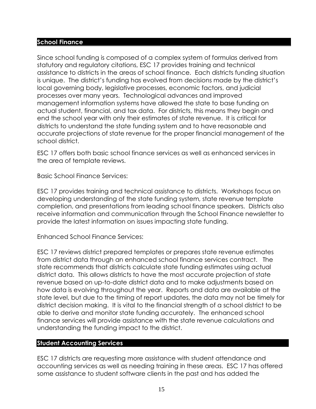#### **School Finance**

Since school funding is composed of a complex system of formulas derived from statutory and regulatory citations, ESC 17 provides training and technical assistance to districts in the areas of school finance. Each districts funding situation is unique. The district's funding has evolved from decisions made by the district's local governing body, legislative processes, economic factors, and judicial processes over many years. Technological advances and improved management information systems have allowed the state to base funding on actual student, financial, and tax data. For districts, this means they begin and end the school year with only their estimates of state revenue. It is critical for districts to understand the state funding system and to have reasonable and accurate projections of state revenue for the proper financial management of the school district.

ESC 17 offers both basic school finance services as well as enhanced services in the area of template reviews.

Basic School Finance Services:

ESC 17 provides training and technical assistance to districts. Workshops focus on developing understanding of the state funding system, state revenue template completion, and presentations from leading school finance speakers. Districts also receive information and communication through the School Finance newsletter to provide the latest information on issues impacting state funding.

Enhanced School Finance Services:

ESC 17 reviews district prepared templates or prepares state revenue estimates from district data through an enhanced school finance services contract. The state recommends that districts calculate state funding estimates using actual district data. This allows districts to have the most accurate projection of state revenue based on up-to-date district data and to make adjustments based on how data is evolving throughout the year. Reports and data are available at the state level, but due to the timing of report updates, the data may not be timely for district decision making. It is vital to the financial strength of a school district to be able to derive and monitor state funding accurately. The enhanced school finance services will provide assistance with the state revenue calculations and understanding the funding impact to the district.

#### **Student Accounting Services**

ESC 17 districts are requesting more assistance with student attendance and accounting services as well as needing training in these areas. ESC 17 has offered some assistance to student software clients in the past and has added the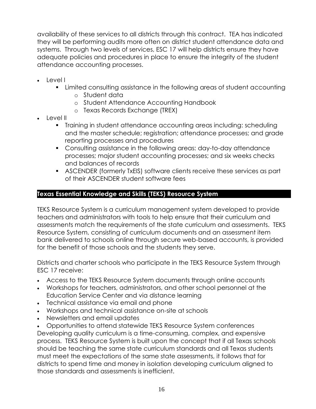availability of these services to all districts through this contract. TEA has indicated they will be performing audits more often on district student attendance data and systems. Through two levels of services, ESC 17 will help districts ensure they have adequate policies and procedures in place to ensure the integrity of the student attendance accounting processes.

- Levell
	- Limited consulting assistance in the following areas of student accounting
		- o Student data
		- o Student Attendance Accounting Handbook
		- o Texas Records Exchange (TREX)
- Level II
	- Training in student attendance accounting areas including: scheduling and the master schedule; registration; attendance processes; and grade reporting processes and procedures
	- Consulting assistance in the following areas: day-to-day attendance processes; major student accounting processes; and six weeks checks and balances of records
	- **EXECENDER (formerly TxEIS) software clients receive these services as part** of their ASCENDER student software fees

#### **Texas Essential Knowledge and Skills (TEKS) Resource System**

TEKS Resource System is a curriculum management system developed to provide teachers and administrators with tools to help ensure that their curriculum and assessments match the requirements of the state curriculum and assessments. TEKS Resource System, consisting of curriculum documents and an assessment item bank delivered to schools online through secure web-based accounts, is provided for the benefit of those schools and the students they serve.

Districts and charter schools who participate in the TEKS Resource System through ESC 17 receive:

- Access to the TEKS Resource System documents through online accounts
- Workshops for teachers, administrators, and other school personnel at the Education Service Center and via distance learning
- Technical assistance via email and phone
- Workshops and technical assistance on-site at schools
- Newsletters and email updates
- Opportunities to attend statewide TEKS Resource System conferences

Developing quality curriculum is a time-consuming, complex, and expensive process. TEKS Resource System is built upon the concept that if all Texas schools should be teaching the same state curriculum standards and all Texas students must meet the expectations of the same state assessments, it follows that for districts to spend time and money in isolation developing curriculum aligned to those standards and assessments is inefficient.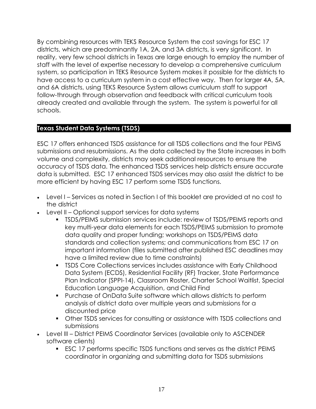By combining resources with TEKS Resource System the cost savings for ESC 17 districts, which are predominantly 1A, 2A, and 3A districts, is very significant. In reality, very few school districts in Texas are large enough to employ the number of staff with the level of expertise necessary to develop a comprehensive curriculum system, so participation in TEKS Resource System makes it possible for the districts to have access to a curriculum system in a cost effective way. Then for larger 4A, 5A, and 6A districts, using TEKS Resource System allows curriculum staff to support follow-through through observation and feedback with critical curriculum tools already created and available through the system. The system is powerful for all schools.

#### **Texas Student Data Systems (TSDS)**

ESC 17 offers enhanced TSDS assistance for all TSDS collections and the four PEIMS submissions and resubmissions. As the data collected by the State increases in both volume and complexity, districts may seek additional resources to ensure the accuracy of TSDS data. The enhanced TSDS services help districts ensure accurate data is submitted. ESC 17 enhanced TSDS services may also assist the district to be more efficient by having ESC 17 perform some TSDS functions.

- Level I Services as noted in Section I of this booklet are provided at no cost to the district
- Level II Optional support services for data systems
	- **•** TSDS/PEIMS submission services include: review of TSDS/PEIMS reports and key multi-year data elements for each TSDS/PEIMS submission to promote data quality and proper funding; workshops on TSDS/PEIMS data standards and collection systems; and communications from ESC 17 on important information (files submitted after published ESC deadlines may have a limited review due to time constraints)
	- TSDS Core Collections services includes assistance with Early Childhood Data System (ECDS), Residential Facility (RF) Tracker, State Performance Plan Indicator (SPPI-14), Classroom Roster, Charter School Waitlist, Special Education Language Acquisition, and Child Find
	- Purchase of OnData Suite software which allows districts to perform analysis of district data over multiple years and submissions for a discounted price
	- Other TSDS services for consulting or assistance with TSDS collections and submissions
- Level III District PEIMS Coordinator Services (available only to ASCENDER software clients)
	- ESC 17 performs specific TSDS functions and serves as the district PEIMS coordinator in organizing and submitting data for TSDS submissions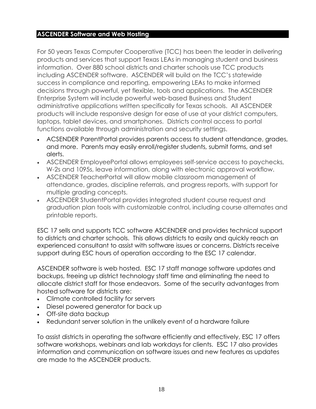#### **ASCENDER Software and Web Hosting**

For 50 years Texas Computer Cooperative (TCC) has been the leader in delivering products and services that support Texas LEAs in managing student and business information. Over 880 school districts and charter schools use TCC products including ASCENDER software. ASCENDER will build on the TCC's statewide success in compliance and reporting, empowering LEAs to make informed decisions through powerful, yet flexible, tools and applications. The ASCENDER Enterprise System will include powerful web-based Business and Student administrative applications written specifically for Texas schools. All ASCENDER products will include responsive design for ease of use at your district computers, laptops, tablet devices, and smartphones. Districts control access to portal functions available through administration and security settings.

- ACSENDER ParentPortal provides parents access to student attendance, grades, and more. Parents may easily enroll/register students, submit forms, and set alerts.
- ASCENDER EmployeePortal allows employees self-service access to paychecks, W-2s and 1095s, leave information, along with electronic approval workflow.
- ASCENDER TeacherPortal will allow mobile classroom management of attendance, grades, discipline referrals, and progress reports, with support for multiple grading concepts.
- ASCENDER StudentPortal provides integrated student course request and graduation plan tools with customizable control, including course alternates and printable reports.

ESC 17 sells and supports TCC software ASCENDER and provides technical support to districts and charter schools. This allows districts to easily and quickly reach an experienced consultant to assist with software issues or concerns. Districts receive support during ESC hours of operation according to the ESC 17 calendar.

ASCENDER software is web hosted. ESC 17 staff manage software updates and backups, freeing up district technology staff time and eliminating the need to allocate district staff for those endeavors. Some of the security advantages from hosted software for districts are:

- Climate controlled facility for servers
- Diesel powered generator for back up
- Off-site data backup
- Redundant server solution in the unlikely event of a hardware failure

To assist districts in operating the software efficiently and effectively, ESC 17 offers software workshops, webinars and lab workdays for clients. ESC 17 also provides information and communication on software issues and new features as updates are made to the ASCENDER products.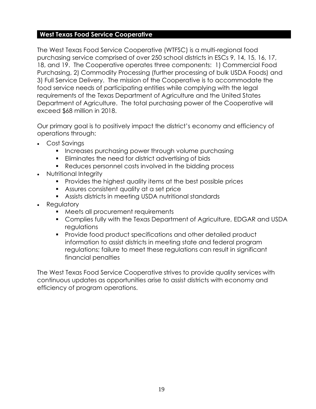#### **West Texas Food Service Cooperative**

The West Texas Food Service Cooperative (WTFSC) is a multi-regional food purchasing service comprised of over 250 school districts in ESCs 9, 14, 15, 16, 17, 18, and 19. The Cooperative operates three components: 1) Commercial Food Purchasing, 2) Commodity Processing (further processing of bulk USDA Foods) and 3) Full Service Delivery. The mission of the Cooperative is to accommodate the food service needs of participating entities while complying with the legal requirements of the Texas Department of Agriculture and the United States Department of Agriculture. The total purchasing power of the Cooperative will exceed \$68 million in 2018.

Our primary goal is to positively impact the district's economy and efficiency of operations through:

- Cost Savings
	- Increases purchasing power through volume purchasing
	- Eliminates the need for district advertising of bids
	- Reduces personnel costs involved in the bidding process
- Nutritional Integrity
	- Provides the highest quality items at the best possible prices
	- Assures consistent quality at a set price
	- Assists districts in meeting USDA nutritional standards
- Regulatory
	- Meets all procurement requirements
	- Complies fully with the Texas Department of Agriculture, EDGAR and USDA regulations
	- Provide food product specifications and other detailed product information to assist districts in meeting state and federal program regulations; failure to meet these regulations can result in significant financial penalties

The West Texas Food Service Cooperative strives to provide quality services with continuous updates as opportunities arise to assist districts with economy and efficiency of program operations.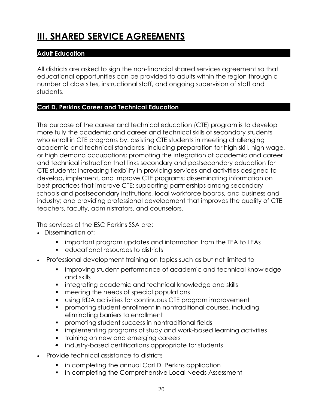## **III. SHARED SERVICE AGREEMENTS**

#### **Adult Education**

All districts are asked to sign the non-financial shared services agreement so that educational opportunities can be provided to adults within the region through a number of class sites, instructional staff, and ongoing supervision of staff and students.

#### **Carl D. Perkins Career and Technical Education**

The purpose of the career and technical education (CTE) program is to develop more fully the academic and career and technical skills of secondary students who enroll in CTE programs by: assisting CTE students in meeting challenging academic and technical standards, including preparation for high skill, high wage, or high demand occupations; promoting the integration of academic and career and technical instruction that links secondary and postsecondary education for CTE students; increasing flexibility in providing services and activities designed to develop, implement, and improve CTE programs; disseminating information on best practices that improve CTE; supporting partnerships among secondary schools and postsecondary institutions, local workforce boards, and business and industry; and providing professional development that improves the quality of CTE teachers, faculty, administrators, and counselors.

The services of the ESC Perkins SSA are:

- Dissemination of:
	- important program updates and information from the TEA to LEAs
	- educational resources to districts
- Professional development training on topics such as but not limited to
	- **•** improving student performance of academic and technical knowledge and skills
	- integrating academic and technical knowledge and skills
	- meeting the needs of special populations
	- using RDA activities for continuous CTE program improvement
	- promoting student enrollment in nontraditional courses, including eliminating barriers to enrollment
	- promoting student success in nontraditional fields
	- implementing programs of study and work-based learning activities
	- **•** training on new and emerging careers
	- industry-based certifications appropriate for students
- Provide technical assistance to districts
	- in completing the annual Carl D. Perkins application
	- in completing the Comprehensive Local Needs Assessment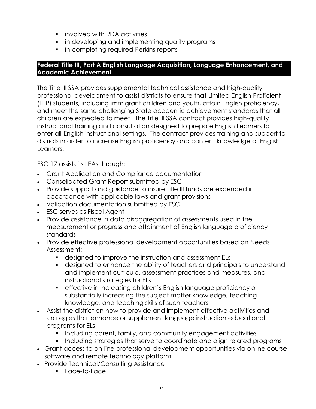- involved with RDA activities
- in developing and implementing quality programs
- in completing required Perkins reports

#### **Federal Title III, Part A English Language Acquisition, Language Enhancement, and Academic Achievement**

The Title III SSA provides supplemental technical assistance and high-quality professional development to assist districts to ensure that Limited English Proficient (LEP) students, including immigrant children and youth, attain English proficiency, and meet the same challenging State academic achievement standards that all children are expected to meet. The Title III SSA contract provides high-quality instructional training and consultation designed to prepare English Learners to enter all-English instructional settings. The contract provides training and support to districts in order to increase English proficiency and content knowledge of English Learners.

ESC 17 assists its LEAs through:

- Grant Application and Compliance documentation
- Consolidated Grant Report submitted by ESC
- Provide support and guidance to insure Title III funds are expended in accordance with applicable laws and grant provisions
- Validation documentation submitted by ESC
- ESC serves as Fiscal Agent
- Provide assistance in data disaggregation of assessments used in the measurement or progress and attainment of English language proficiency standards
- Provide effective professional development opportunities based on Needs Assessment:
	- designed to improve the instruction and assessment ELs
	- designed to enhance the ability of teachers and principals to understand and implement curricula, assessment practices and measures, and instructional strategies for ELs
	- **•** effective in increasing children's English language proficiency or substantially increasing the subject matter knowledge, teaching knowledge, and teaching skills of such teachers
- Assist the district on how to provide and implement effective activities and strategies that enhance or supplement language instruction educational programs for ELs
	- Including parent, family, and community engagement activities
	- Including strategies that serve to coordinate and align related programs
- Grant access to on-line professional development opportunities via online course software and remote technology platform
- Provide Technical/Consulting Assistance
	- Face-to-Face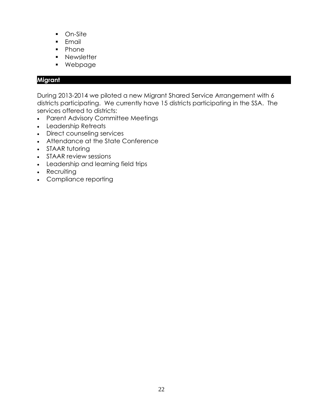- On-Site
- Email
- Phone
- **■** Newsletter
- Webpage

#### **Migrant**

During 2013-2014 we piloted a new Migrant Shared Service Arrangement with 6 districts participating. We currently have 15 districts participating in the SSA. The services offered to districts:

- Parent Advisory Committee Meetings
- Leadership Retreats
- Direct counseling services
- Attendance at the State Conference
- STAAR tutoring
- STAAR review sessions
- Leadership and learning field trips
- Recruiting
- Compliance reporting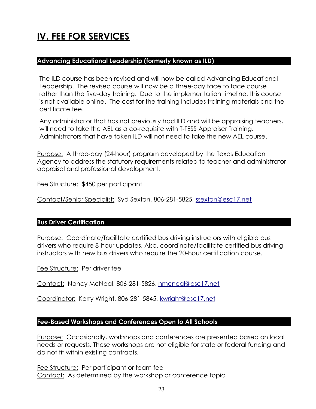### **IV. FEE FOR SERVICES**

#### **Advancing Educational Leadership (formerly known as ILD)**

The ILD course has been revised and will now be called Advancing Educational Leadership. The revised course will now be a three-day face to face course rather than the five-day training. Due to the implementation timeline, this course is not available online. The cost for the training includes training materials and the certificate fee.

Any administrator that has not previously had ILD and will be appraising teachers, will need to take the AEL as a co-requisite with T-TESS Appraiser Training. Administrators that have taken ILD will not need to take the new AEL course.

Purpose: A three-day (24-hour) program developed by the Texas Education Agency to address the statutory requirements related to teacher and administrator appraisal and professional development.

Fee Structure: \$450 per participant

Contact/Senior Specialist: Syd Sexton, 806-281-5825, [ssexton@esc17.net](mailto:ssexton@esc17.net)

#### **Bus Driver Certification**

Purpose: Coordinate/facilitate certified bus driving instructors with eligible bus drivers who require 8-hour updates. Also, coordinate/facilitate certified bus driving instructors with new bus drivers who require the 20-hour certification course.

Fee Structure: Per driver fee

Contact: Nancy McNeal, 806-281-5826, [nmcneal@esc17.net](mailto:nmcneal@esc17.net)

Coordinator: Kerry Wright, 806-281-5845, [kwright@esc17.net](mailto:kwright@esc17.net)

#### **Fee-Based Workshops and Conferences Open to All Schools**

Purpose: Occasionally, workshops and conferences are presented based on local needs or requests. These workshops are not eligible for state or federal funding and do not fit within existing contracts.

Fee Structure: Per participant or team fee Contact: As determined by the workshop or conference topic